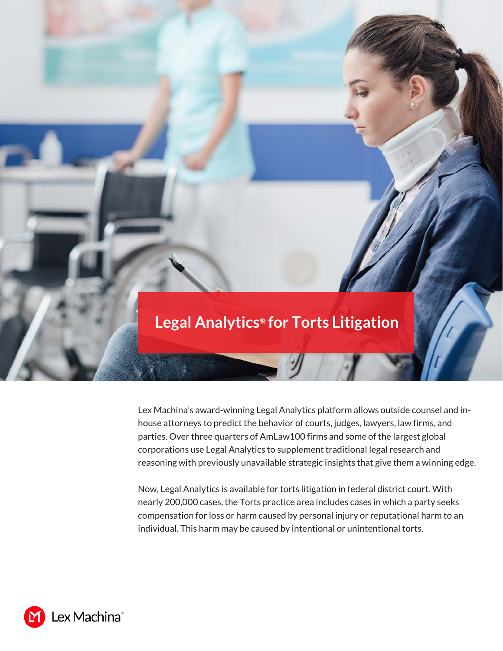## **Legal Analytics***®* **for Torts Litigation**

 $\overline{\mathscr{Y}}$ 

Lex Machina's award-winning Legal Analytics platform allows outside counsel and inhouse attorneys to predict the behavior of courts, judges, lawyers, law firms, and parties. Over three quarters of AmLaw100 firms and some of the largest global corporations use Legal Analytics to supplement traditional legal research and reasoning with previously unavailable strategic insights that give them a winning edge.

Now, Legal Analytics is available for torts litigation in federal district court. With nearly 200,000 cases, the Torts practice area includes cases in which a party seeks compensation for loss or harm caused by personal injury or reputational harm to an individual. This harm may be caused by intentional or unintentional torts.